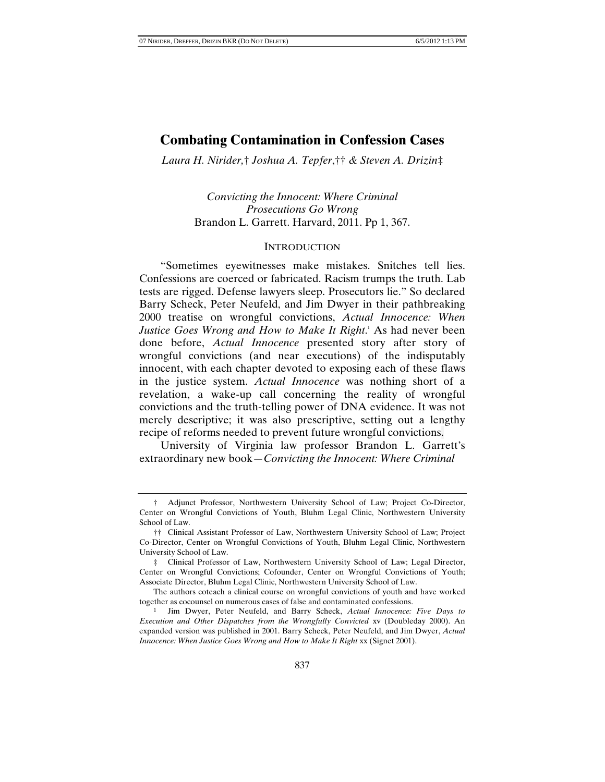*Laura H. Nirider,*† *Joshua A. Tepfer*,†† *& Steven A. Drizin*‡

*Convicting the Innocent: Where Criminal Prosecutions Go Wrong*  Brandon L. Garrett. Harvard, 2011. Pp 1, 367.

### **INTRODUCTION**

"Sometimes eyewitnesses make mistakes. Snitches tell lies. Confessions are coerced or fabricated. Racism trumps the truth. Lab tests are rigged. Defense lawyers sleep. Prosecutors lie." So declared Barry Scheck, Peter Neufeld, and Jim Dwyer in their pathbreaking 2000 treatise on wrongful convictions, *Actual Innocence: When Justice Goes Wrong and How to Make It Right*. 1 As had never been done before, *Actual Innocence* presented story after story of wrongful convictions (and near executions) of the indisputably innocent, with each chapter devoted to exposing each of these flaws in the justice system. *Actual Innocence* was nothing short of a revelation, a wake-up call concerning the reality of wrongful convictions and the truth-telling power of DNA evidence. It was not merely descriptive; it was also prescriptive, setting out a lengthy recipe of reforms needed to prevent future wrongful convictions.

University of Virginia law professor Brandon L. Garrett's extraordinary new book—*Convicting the Innocent: Where Criminal* 

 <sup>†</sup> Adjunct Professor, Northwestern University School of Law; Project Co-Director, Center on Wrongful Convictions of Youth, Bluhm Legal Clinic, Northwestern University School of Law.

 <sup>††</sup> Clinical Assistant Professor of Law, Northwestern University School of Law; Project Co-Director, Center on Wrongful Convictions of Youth, Bluhm Legal Clinic, Northwestern University School of Law.

 <sup>‡</sup> Clinical Professor of Law, Northwestern University School of Law; Legal Director, Center on Wrongful Convictions; Cofounder, Center on Wrongful Convictions of Youth; Associate Director, Bluhm Legal Clinic, Northwestern University School of Law.

The authors coteach a clinical course on wrongful convictions of youth and have worked together as cocounsel on numerous cases of false and contaminated confessions.

<sup>1</sup> Jim Dwyer, Peter Neufeld, and Barry Scheck, *Actual Innocence: Five Days to Execution and Other Dispatches from the Wrongfully Convicted* xv (Doubleday 2000). An expanded version was published in 2001. Barry Scheck, Peter Neufeld, and Jim Dwyer, *Actual Innocence: When Justice Goes Wrong and How to Make It Right* xx (Signet 2001).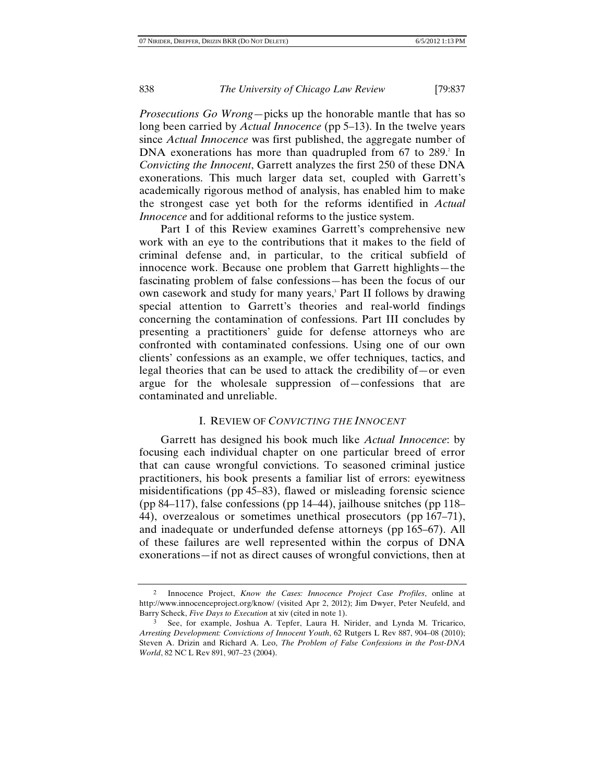*Prosecutions Go Wrong*—picks up the honorable mantle that has so long been carried by *Actual Innocence* (pp 5–13). In the twelve years since *Actual Innocence* was first published, the aggregate number of DNA exonerations has more than quadrupled from  $67$  to  $289$ .<sup>2</sup> In *Convicting the Innocent*, Garrett analyzes the first 250 of these DNA exonerations. This much larger data set, coupled with Garrett's academically rigorous method of analysis, has enabled him to make the strongest case yet both for the reforms identified in *Actual Innocence* and for additional reforms to the justice system.

Part I of this Review examines Garrett's comprehensive new work with an eye to the contributions that it makes to the field of criminal defense and, in particular, to the critical subfield of innocence work. Because one problem that Garrett highlights—the fascinating problem of false confessions—has been the focus of our own casework and study for many years,<sup>3</sup> Part II follows by drawing special attention to Garrett's theories and real-world findings concerning the contamination of confessions. Part III concludes by presenting a practitioners' guide for defense attorneys who are confronted with contaminated confessions. Using one of our own clients' confessions as an example, we offer techniques, tactics, and legal theories that can be used to attack the credibility of—or even argue for the wholesale suppression of—confessions that are contaminated and unreliable.

## I. REVIEW OF *CONVICTING THE INNOCENT*

Garrett has designed his book much like *Actual Innocence*: by focusing each individual chapter on one particular breed of error that can cause wrongful convictions. To seasoned criminal justice practitioners, his book presents a familiar list of errors: eyewitness misidentifications (pp 45–83), flawed or misleading forensic science (pp 84–117), false confessions (pp 14–44), jailhouse snitches (pp 118– 44), overzealous or sometimes unethical prosecutors (pp 167–71), and inadequate or underfunded defense attorneys (pp 165–67). All of these failures are well represented within the corpus of DNA exonerations—if not as direct causes of wrongful convictions, then at

<sup>2</sup> Innocence Project, *Know the Cases: Innocence Project Case Profiles*, online at http://www.innocenceproject.org/know/ (visited Apr 2, 2012); Jim Dwyer, Peter Neufeld, and Barry Scheck, *Five Days to Execution* at xiv (cited in note 1).

<sup>3</sup> See, for example, Joshua A. Tepfer, Laura H. Nirider, and Lynda M. Tricarico, *Arresting Development: Convictions of Innocent Youth*, 62 Rutgers L Rev 887, 904–08 (2010); Steven A. Drizin and Richard A. Leo, *The Problem of False Confessions in the Post-DNA World*, 82 NC L Rev 891, 907–23 (2004).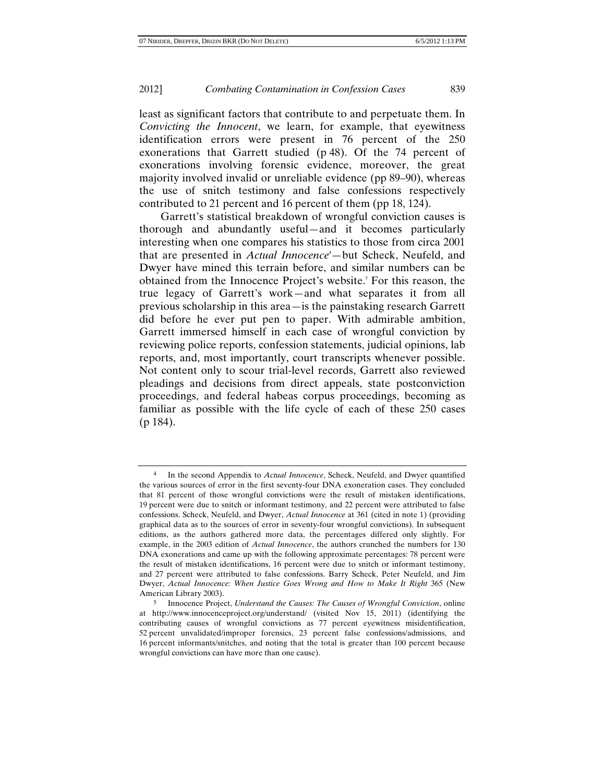least as significant factors that contribute to and perpetuate them. In *Convicting the Innocent*, we learn, for example, that eyewitness identification errors were present in 76 percent of the 250 exonerations that Garrett studied (p 48). Of the 74 percent of exonerations involving forensic evidence, moreover, the great majority involved invalid or unreliable evidence (pp 89–90), whereas the use of snitch testimony and false confessions respectively contributed to 21 percent and 16 percent of them (pp 18, 124).

Garrett's statistical breakdown of wrongful conviction causes is thorough and abundantly useful—and it becomes particularly interesting when one compares his statistics to those from circa 2001 that are presented in *Actual Innocence*<sup>4</sup>—but Scheck, Neufeld, and Dwyer have mined this terrain before, and similar numbers can be obtained from the Innocence Project's website.<sup>5</sup> For this reason, the true legacy of Garrett's work—and what separates it from all previous scholarship in this area—is the painstaking research Garrett did before he ever put pen to paper. With admirable ambition, Garrett immersed himself in each case of wrongful conviction by reviewing police reports, confession statements, judicial opinions, lab reports, and, most importantly, court transcripts whenever possible. Not content only to scour trial-level records, Garrett also reviewed pleadings and decisions from direct appeals, state postconviction proceedings, and federal habeas corpus proceedings, becoming as familiar as possible with the life cycle of each of these 250 cases (p 184).

<sup>4</sup> In the second Appendix to *Actual Innocence*, Scheck, Neufeld, and Dwyer quantified the various sources of error in the first seventy-four DNA exoneration cases. They concluded that 81 percent of those wrongful convictions were the result of mistaken identifications, 19 percent were due to snitch or informant testimony, and 22 percent were attributed to false confessions. Scheck, Neufeld, and Dwyer, *Actual Innocence* at 361 (cited in note 1) (providing graphical data as to the sources of error in seventy-four wrongful convictions). In subsequent editions, as the authors gathered more data, the percentages differed only slightly. For example, in the 2003 edition of *Actual Innocence*, the authors crunched the numbers for 130 DNA exonerations and came up with the following approximate percentages: 78 percent were the result of mistaken identifications, 16 percent were due to snitch or informant testimony, and 27 percent were attributed to false confessions. Barry Scheck, Peter Neufeld, and Jim Dwyer, *Actual Innocence: When Justice Goes Wrong and How to Make It Right* 365 (New American Library 2003).

<sup>5</sup> Innocence Project, *Understand the Causes: The Causes of Wrongful Conviction*, online at http://www.innocenceproject.org/understand/ (visited Nov 15, 2011) (identifying the contributing causes of wrongful convictions as 77 percent eyewitness misidentification, 52 percent unvalidated/improper forensics, 23 percent false confessions/admissions, and 16 percent informants/snitches, and noting that the total is greater than 100 percent because wrongful convictions can have more than one cause).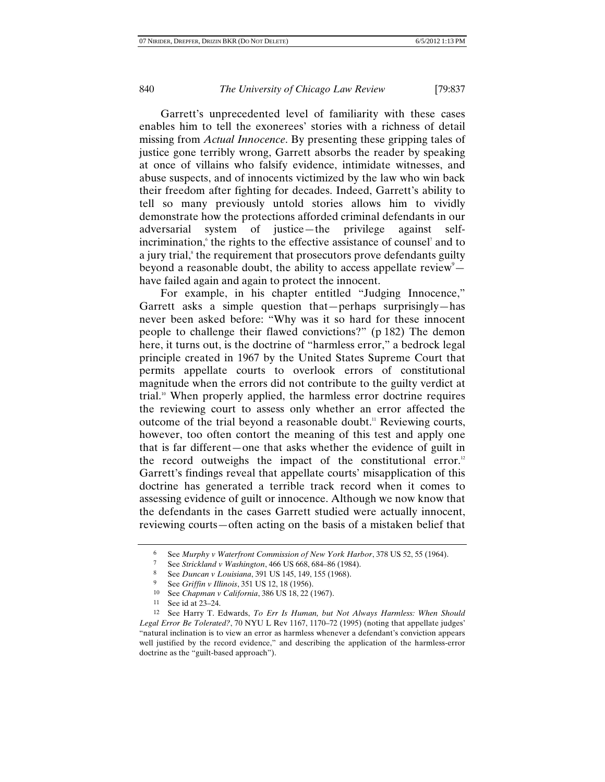Garrett's unprecedented level of familiarity with these cases enables him to tell the exonerees' stories with a richness of detail missing from *Actual Innocence*. By presenting these gripping tales of justice gone terribly wrong, Garrett absorbs the reader by speaking at once of villains who falsify evidence, intimidate witnesses, and abuse suspects, and of innocents victimized by the law who win back their freedom after fighting for decades. Indeed, Garrett's ability to tell so many previously untold stories allows him to vividly demonstrate how the protections afforded criminal defendants in our adversarial system of justice—the privilege against selfincrimination, the rights to the effective assistance of counsel<sup>7</sup> and to a jury trial,<sup>8</sup> the requirement that prosecutors prove defendants guilty beyond a reasonable doubt, the ability to access appellate review  $$ have failed again and again to protect the innocent.

For example, in his chapter entitled "Judging Innocence," Garrett asks a simple question that—perhaps surprisingly—has never been asked before: "Why was it so hard for these innocent people to challenge their flawed convictions?" (p 182) The demon here, it turns out, is the doctrine of "harmless error," a bedrock legal principle created in 1967 by the United States Supreme Court that permits appellate courts to overlook errors of constitutional magnitude when the errors did not contribute to the guilty verdict at trial.10 When properly applied, the harmless error doctrine requires the reviewing court to assess only whether an error affected the outcome of the trial beyond a reasonable doubt.<sup>11</sup> Reviewing courts, however, too often contort the meaning of this test and apply one that is far different—one that asks whether the evidence of guilt in the record outweighs the impact of the constitutional error.<sup>12</sup> Garrett's findings reveal that appellate courts' misapplication of this doctrine has generated a terrible track record when it comes to assessing evidence of guilt or innocence. Although we now know that the defendants in the cases Garrett studied were actually innocent, reviewing courts—often acting on the basis of a mistaken belief that

<sup>6</sup> See *Murphy v Waterfront Commission of New York Harbor*, 378 US 52, 55 (1964). 7 See *Strickland v Washington*, 466 US 668, 684–86 (1984).

<sup>8</sup> See *Duncan v Louisiana*, 391 US 145, 149, 155 (1968).

<sup>9</sup> See *Griffin v Illinois*, 351 US 12, 18 (1956).

<sup>10</sup> See *Chapman v California*, 386 US 18, 22 (1967).

<sup>11</sup> See id at 23–24.

<sup>12</sup> See Harry T. Edwards, *To Err Is Human, but Not Always Harmless: When Should Legal Error Be Tolerated?*, 70 NYU L Rev 1167, 1170–72 (1995) (noting that appellate judges' "natural inclination is to view an error as harmless whenever a defendant's conviction appears well justified by the record evidence," and describing the application of the harmless-error doctrine as the "guilt-based approach").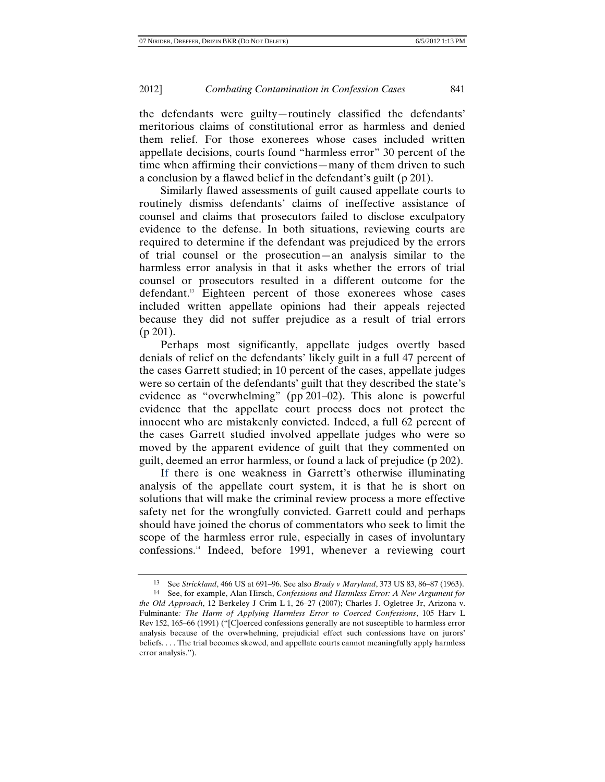the defendants were guilty—routinely classified the defendants' meritorious claims of constitutional error as harmless and denied them relief. For those exonerees whose cases included written appellate decisions, courts found "harmless error" 30 percent of the time when affirming their convictions—many of them driven to such a conclusion by a flawed belief in the defendant's guilt (p 201).

Similarly flawed assessments of guilt caused appellate courts to routinely dismiss defendants' claims of ineffective assistance of counsel and claims that prosecutors failed to disclose exculpatory evidence to the defense. In both situations, reviewing courts are required to determine if the defendant was prejudiced by the errors of trial counsel or the prosecution—an analysis similar to the harmless error analysis in that it asks whether the errors of trial counsel or prosecutors resulted in a different outcome for the defendant.<sup>13</sup> Eighteen percent of those exonerees whose cases included written appellate opinions had their appeals rejected because they did not suffer prejudice as a result of trial errors  $(p 201)$ .

Perhaps most significantly, appellate judges overtly based denials of relief on the defendants' likely guilt in a full 47 percent of the cases Garrett studied; in 10 percent of the cases, appellate judges were so certain of the defendants' guilt that they described the state's evidence as "overwhelming" (pp 201–02). This alone is powerful evidence that the appellate court process does not protect the innocent who are mistakenly convicted. Indeed, a full 62 percent of the cases Garrett studied involved appellate judges who were so moved by the apparent evidence of guilt that they commented on guilt, deemed an error harmless, or found a lack of prejudice (p 202).

If there is one weakness in Garrett's otherwise illuminating analysis of the appellate court system, it is that he is short on solutions that will make the criminal review process a more effective safety net for the wrongfully convicted. Garrett could and perhaps should have joined the chorus of commentators who seek to limit the scope of the harmless error rule, especially in cases of involuntary confessions.14 Indeed, before 1991, whenever a reviewing court

<sup>13</sup> See *Strickland*, 466 US at 691–96. See also *Brady v Maryland*, 373 US 83, 86–87 (1963). 14 See, for example, Alan Hirsch, *Confessions and Harmless Error: A New Argument for* 

*the Old Approach*, 12 Berkeley J Crim L 1, 26–27 (2007); Charles J. Ogletree Jr, Arizona v. Fulminante*: The Harm of Applying Harmless Error to Coerced Confessions*, 105 Harv L Rev 152, 165–66 (1991) ("[C]oerced confessions generally are not susceptible to harmless error analysis because of the overwhelming, prejudicial effect such confessions have on jurors' beliefs. . . . The trial becomes skewed, and appellate courts cannot meaningfully apply harmless error analysis.").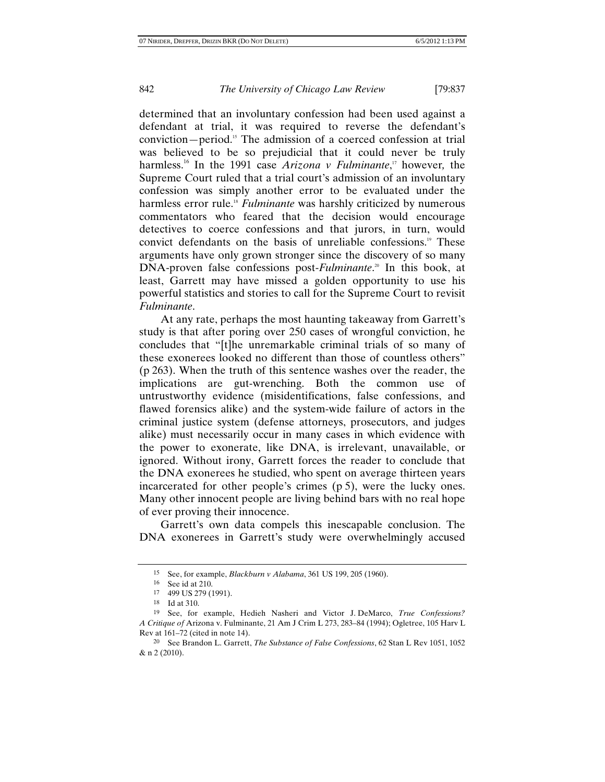determined that an involuntary confession had been used against a defendant at trial, it was required to reverse the defendant's conviction—period.15 The admission of a coerced confession at trial was believed to be so prejudicial that it could never be truly harmless.16 In the 1991 case *Arizona v Fulminante*, 17 however*,* the Supreme Court ruled that a trial court's admission of an involuntary confession was simply another error to be evaluated under the harmless error rule.<sup>18</sup> *Fulminante* was harshly criticized by numerous commentators who feared that the decision would encourage detectives to coerce confessions and that jurors, in turn, would convict defendants on the basis of unreliable confessions.<sup>19</sup> These arguments have only grown stronger since the discovery of so many DNA-proven false confessions post-*Fulminante*. 20 In this book, at least, Garrett may have missed a golden opportunity to use his powerful statistics and stories to call for the Supreme Court to revisit *Fulminante*.

At any rate, perhaps the most haunting takeaway from Garrett's study is that after poring over 250 cases of wrongful conviction, he concludes that "[t]he unremarkable criminal trials of so many of these exonerees looked no different than those of countless others" (p 263). When the truth of this sentence washes over the reader, the implications are gut-wrenching. Both the common use of untrustworthy evidence (misidentifications, false confessions, and flawed forensics alike) and the system-wide failure of actors in the criminal justice system (defense attorneys, prosecutors, and judges alike) must necessarily occur in many cases in which evidence with the power to exonerate, like DNA, is irrelevant, unavailable, or ignored. Without irony, Garrett forces the reader to conclude that the DNA exonerees he studied, who spent on average thirteen years incarcerated for other people's crimes (p 5), were the lucky ones. Many other innocent people are living behind bars with no real hope of ever proving their innocence.

Garrett's own data compels this inescapable conclusion. The DNA exonerees in Garrett's study were overwhelmingly accused

<sup>15</sup> See, for example, *Blackburn v Alabama*, 361 US 199, 205 (1960).

<sup>16</sup> See id at 210.

<sup>17 499</sup> US 279 (1991).

<sup>18</sup> Id at 310.

<sup>19</sup> See, for example, Hedieh Nasheri and Victor J. DeMarco, *True Confessions? A Critique of* Arizona v. Fulminante, 21 Am J Crim L 273, 283–84 (1994); Ogletree, 105 Harv L Rev at 161–72 (cited in note 14).

<sup>20</sup> See Brandon L. Garrett, *The Substance of False Confessions*, 62 Stan L Rev 1051, 1052 & n 2 (2010).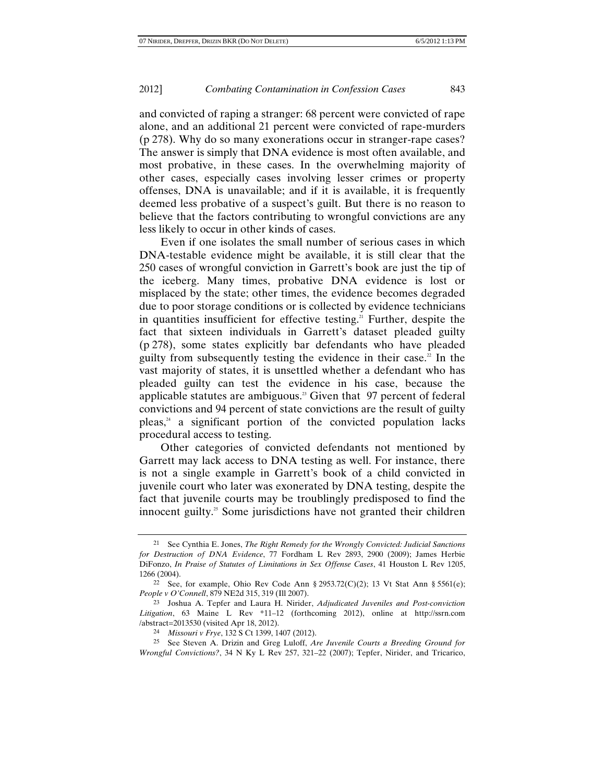and convicted of raping a stranger: 68 percent were convicted of rape alone, and an additional 21 percent were convicted of rape-murders (p 278). Why do so many exonerations occur in stranger-rape cases? The answer is simply that DNA evidence is most often available, and most probative, in these cases. In the overwhelming majority of other cases, especially cases involving lesser crimes or property offenses, DNA is unavailable; and if it is available, it is frequently deemed less probative of a suspect's guilt. But there is no reason to believe that the factors contributing to wrongful convictions are any less likely to occur in other kinds of cases.

Even if one isolates the small number of serious cases in which DNA-testable evidence might be available, it is still clear that the 250 cases of wrongful conviction in Garrett's book are just the tip of the iceberg. Many times, probative DNA evidence is lost or misplaced by the state; other times, the evidence becomes degraded due to poor storage conditions or is collected by evidence technicians in quantities insufficient for effective testing.<sup>21</sup> Further, despite the fact that sixteen individuals in Garrett's dataset pleaded guilty (p 278), some states explicitly bar defendants who have pleaded guilty from subsequently testing the evidence in their case.<sup>22</sup> In the vast majority of states, it is unsettled whether a defendant who has pleaded guilty can test the evidence in his case, because the applicable statutes are ambiguous.<sup>23</sup> Given that 97 percent of federal convictions and 94 percent of state convictions are the result of guilty  $p$ leas, $24$  a significant portion of the convicted population lacks procedural access to testing.

Other categories of convicted defendants not mentioned by Garrett may lack access to DNA testing as well. For instance, there is not a single example in Garrett's book of a child convicted in juvenile court who later was exonerated by DNA testing, despite the fact that juvenile courts may be troublingly predisposed to find the innocent guilty. $35$  Some jurisdictions have not granted their children

<sup>21</sup> See Cynthia E. Jones, *The Right Remedy for the Wrongly Convicted: Judicial Sanctions for Destruction of DNA Evidence*, 77 Fordham L Rev 2893, 2900 (2009); James Herbie DiFonzo, *In Praise of Statutes of Limitations in Sex Offense Cases*, 41 Houston L Rev 1205, 1266 (2004).

<sup>&</sup>lt;sup>22</sup> See, for example, Ohio Rev Code Ann § 2953.72(C)(2); 13 Vt Stat Ann § 5561(e); *People v O'Connell*, 879 NE2d 315, 319 (Ill 2007).

<sup>23</sup> Joshua A. Tepfer and Laura H. Nirider, *Adjudicated Juveniles and Post-conviction Litigation*, 63 Maine L Rev \*11–12 (forthcoming 2012), online at http://ssrn.com /abstract=2013530 (visited Apr 18, 2012).

<sup>24</sup> *Missouri v Frye*, 132 S Ct 1399, 1407 (2012).

<sup>25</sup> See Steven A. Drizin and Greg Luloff, *Are Juvenile Courts a Breeding Ground for Wrongful Convictions?*, 34 N Ky L Rev 257, 321–22 (2007); Tepfer, Nirider, and Tricarico,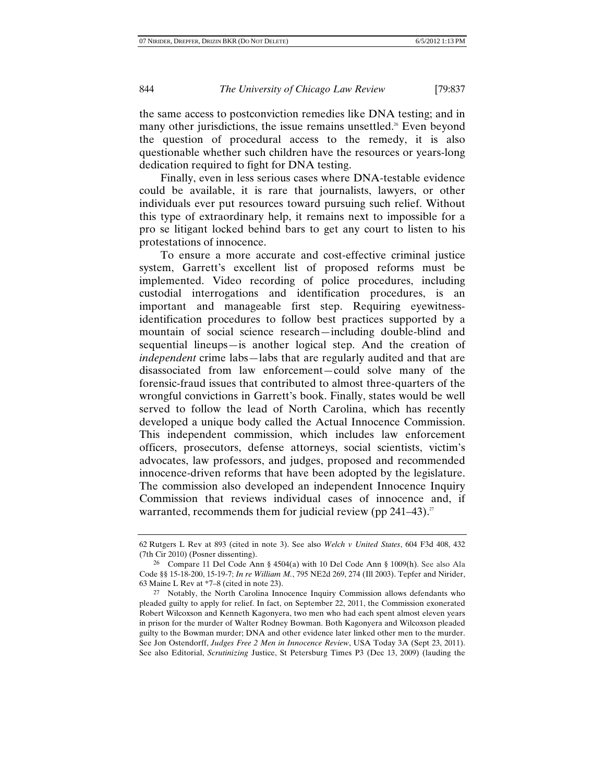the same access to postconviction remedies like DNA testing; and in many other jurisdictions, the issue remains unsettled.<sup>26</sup> Even beyond the question of procedural access to the remedy, it is also questionable whether such children have the resources or years-long dedication required to fight for DNA testing.

Finally, even in less serious cases where DNA-testable evidence could be available, it is rare that journalists, lawyers, or other individuals ever put resources toward pursuing such relief. Without this type of extraordinary help, it remains next to impossible for a pro se litigant locked behind bars to get any court to listen to his protestations of innocence.

To ensure a more accurate and cost-effective criminal justice system, Garrett's excellent list of proposed reforms must be implemented. Video recording of police procedures, including custodial interrogations and identification procedures, is an important and manageable first step. Requiring eyewitnessidentification procedures to follow best practices supported by a mountain of social science research—including double-blind and sequential lineups—is another logical step. And the creation of *independent* crime labs—labs that are regularly audited and that are disassociated from law enforcement—could solve many of the forensic-fraud issues that contributed to almost three-quarters of the wrongful convictions in Garrett's book. Finally, states would be well served to follow the lead of North Carolina, which has recently developed a unique body called the Actual Innocence Commission. This independent commission, which includes law enforcement officers, prosecutors, defense attorneys, social scientists, victim's advocates, law professors, and judges, proposed and recommended innocence-driven reforms that have been adopted by the legislature. The commission also developed an independent Innocence Inquiry Commission that reviews individual cases of innocence and, if warranted, recommends them for judicial review (pp  $241-43$ ).<sup>27</sup>

<sup>62</sup> Rutgers L Rev at 893 (cited in note 3). See also *Welch v United States*, 604 F3d 408, 432 (7th Cir 2010) (Posner dissenting).

<sup>26</sup> Compare 11 Del Code Ann § 4504(a) with 10 Del Code Ann § 1009(h). See also Ala Code §§ 15-18-200, 15-19-7; *In re William M.*, 795 NE2d 269, 274 (Ill 2003). Tepfer and Nirider, 63 Maine L Rev at \*7–8 (cited in note 23).

<sup>27</sup> Notably, the North Carolina Innocence Inquiry Commission allows defendants who pleaded guilty to apply for relief. In fact, on September 22, 2011, the Commission exonerated Robert Wilcoxson and Kenneth Kagonyera, two men who had each spent almost eleven years in prison for the murder of Walter Rodney Bowman. Both Kagonyera and Wilcoxson pleaded guilty to the Bowman murder; DNA and other evidence later linked other men to the murder. See Jon Ostendorff, *Judges Free 2 Men in Innocence Review*, USA Today 3A (Sept 23, 2011). See also Editorial, *Scrutinizing* Justice, St Petersburg Times P3 (Dec 13, 2009) (lauding the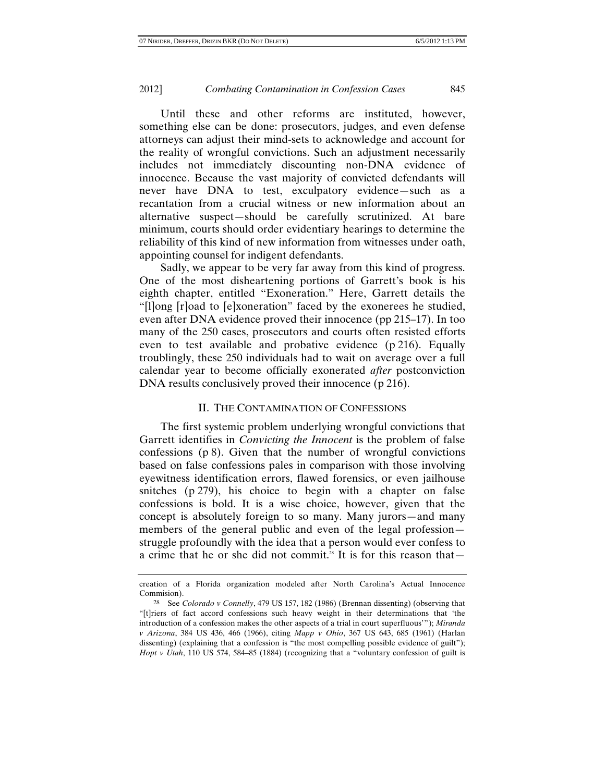Until these and other reforms are instituted, however, something else can be done: prosecutors, judges, and even defense attorneys can adjust their mind-sets to acknowledge and account for the reality of wrongful convictions. Such an adjustment necessarily includes not immediately discounting non-DNA evidence of innocence. Because the vast majority of convicted defendants will never have DNA to test, exculpatory evidence—such as a recantation from a crucial witness or new information about an alternative suspect—should be carefully scrutinized. At bare minimum, courts should order evidentiary hearings to determine the reliability of this kind of new information from witnesses under oath, appointing counsel for indigent defendants.

Sadly, we appear to be very far away from this kind of progress. One of the most disheartening portions of Garrett's book is his eighth chapter, entitled "Exoneration." Here, Garrett details the "[l]ong [r]oad to [e]xoneration" faced by the exonerees he studied, even after DNA evidence proved their innocence (pp 215–17). In too many of the 250 cases, prosecutors and courts often resisted efforts even to test available and probative evidence (p 216). Equally troublingly, these 250 individuals had to wait on average over a full calendar year to become officially exonerated *after* postconviction DNA results conclusively proved their innocence (p 216).

## II. THE CONTAMINATION OF CONFESSIONS

The first systemic problem underlying wrongful convictions that Garrett identifies in *Convicting the Innocent* is the problem of false confessions (p 8). Given that the number of wrongful convictions based on false confessions pales in comparison with those involving eyewitness identification errors, flawed forensics, or even jailhouse snitches (p 279), his choice to begin with a chapter on false confessions is bold. It is a wise choice, however, given that the concept is absolutely foreign to so many. Many jurors—and many members of the general public and even of the legal profession struggle profoundly with the idea that a person would ever confess to a crime that he or she did not commit.<sup>28</sup> It is for this reason that  $-$ 

creation of a Florida organization modeled after North Carolina's Actual Innocence Commision).

<sup>28</sup> See *Colorado v Connelly*, 479 US 157, 182 (1986) (Brennan dissenting) (observing that "[t]riers of fact accord confessions such heavy weight in their determinations that 'the introduction of a confession makes the other aspects of a trial in court superfluous'"); *Miranda v Arizona*, 384 US 436, 466 (1966), citing *Mapp v Ohio*, 367 US 643, 685 (1961) (Harlan dissenting) (explaining that a confession is "the most compelling possible evidence of guilt"); *Hopt v Utah*, 110 US 574, 584–85 (1884) (recognizing that a "voluntary confession of guilt is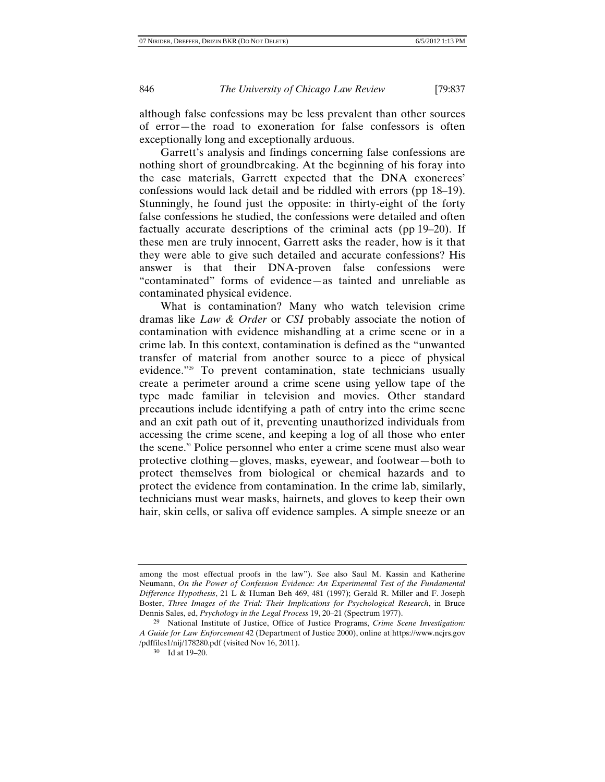although false confessions may be less prevalent than other sources of error—the road to exoneration for false confessors is often exceptionally long and exceptionally arduous.

Garrett's analysis and findings concerning false confessions are nothing short of groundbreaking. At the beginning of his foray into the case materials, Garrett expected that the DNA exonerees' confessions would lack detail and be riddled with errors (pp 18–19). Stunningly, he found just the opposite: in thirty-eight of the forty false confessions he studied, the confessions were detailed and often factually accurate descriptions of the criminal acts (pp 19–20). If these men are truly innocent, Garrett asks the reader, how is it that they were able to give such detailed and accurate confessions? His answer is that their DNA-proven false confessions were "contaminated" forms of evidence—as tainted and unreliable as contaminated physical evidence.

What is contamination? Many who watch television crime dramas like *Law & Order* or *CSI* probably associate the notion of contamination with evidence mishandling at a crime scene or in a crime lab. In this context, contamination is defined as the "unwanted transfer of material from another source to a piece of physical evidence."29 To prevent contamination, state technicians usually create a perimeter around a crime scene using yellow tape of the type made familiar in television and movies. Other standard precautions include identifying a path of entry into the crime scene and an exit path out of it, preventing unauthorized individuals from accessing the crime scene, and keeping a log of all those who enter the scene.30 Police personnel who enter a crime scene must also wear protective clothing—gloves, masks, eyewear, and footwear—both to protect themselves from biological or chemical hazards and to protect the evidence from contamination. In the crime lab, similarly, technicians must wear masks, hairnets, and gloves to keep their own hair, skin cells, or saliva off evidence samples. A simple sneeze or an

among the most effectual proofs in the law"). See also Saul M. Kassin and Katherine Neumann, *On the Power of Confession Evidence: An Experimental Test of the Fundamental Difference Hypothesis*, 21 L & Human Beh 469, 481 (1997); Gerald R. Miller and F. Joseph Boster, *Three Images of the Trial: Their Implications for Psychological Research*, in Bruce Dennis Sales, ed, *Psychology in the Legal Process* 19, 20–21 (Spectrum 1977).

<sup>29</sup> National Institute of Justice, Office of Justice Programs, *Crime Scene Investigation: A Guide for Law Enforcement* 42 (Department of Justice 2000), online at https://www.ncjrs.gov /pdffiles1/nij/178280.pdf (visited Nov 16, 2011).

<sup>30</sup> Id at 19–20.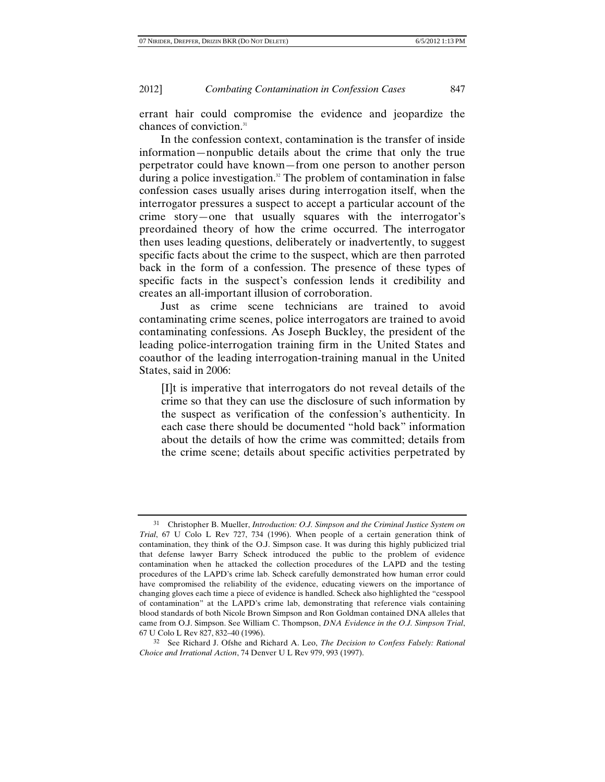errant hair could compromise the evidence and jeopardize the chances of conviction.<sup>31</sup>

In the confession context, contamination is the transfer of inside information—nonpublic details about the crime that only the true perpetrator could have known—from one person to another person during a police investigation.<sup>32</sup> The problem of contamination in false confession cases usually arises during interrogation itself, when the interrogator pressures a suspect to accept a particular account of the crime story—one that usually squares with the interrogator's preordained theory of how the crime occurred. The interrogator then uses leading questions, deliberately or inadvertently, to suggest specific facts about the crime to the suspect, which are then parroted back in the form of a confession. The presence of these types of specific facts in the suspect's confession lends it credibility and creates an all-important illusion of corroboration.

Just as crime scene technicians are trained to avoid contaminating crime scenes, police interrogators are trained to avoid contaminating confessions. As Joseph Buckley, the president of the leading police-interrogation training firm in the United States and coauthor of the leading interrogation-training manual in the United States, said in 2006:

[I]t is imperative that interrogators do not reveal details of the crime so that they can use the disclosure of such information by the suspect as verification of the confession's authenticity. In each case there should be documented "hold back" information about the details of how the crime was committed; details from the crime scene; details about specific activities perpetrated by

<sup>31</sup> Christopher B. Mueller, *Introduction: O.J. Simpson and the Criminal Justice System on Trial*, 67 U Colo L Rev 727, 734 (1996). When people of a certain generation think of contamination, they think of the O.J. Simpson case. It was during this highly publicized trial that defense lawyer Barry Scheck introduced the public to the problem of evidence contamination when he attacked the collection procedures of the LAPD and the testing procedures of the LAPD's crime lab. Scheck carefully demonstrated how human error could have compromised the reliability of the evidence, educating viewers on the importance of changing gloves each time a piece of evidence is handled. Scheck also highlighted the "cesspool of contamination" at the LAPD's crime lab, demonstrating that reference vials containing blood standards of both Nicole Brown Simpson and Ron Goldman contained DNA alleles that came from O.J. Simpson. See William C. Thompson, *DNA Evidence in the O.J. Simpson Trial*, 67 U Colo L Rev 827, 832–40 (1996).

<sup>32</sup> See Richard J. Ofshe and Richard A. Leo, *The Decision to Confess Falsely: Rational Choice and Irrational Action*, 74 Denver U L Rev 979, 993 (1997).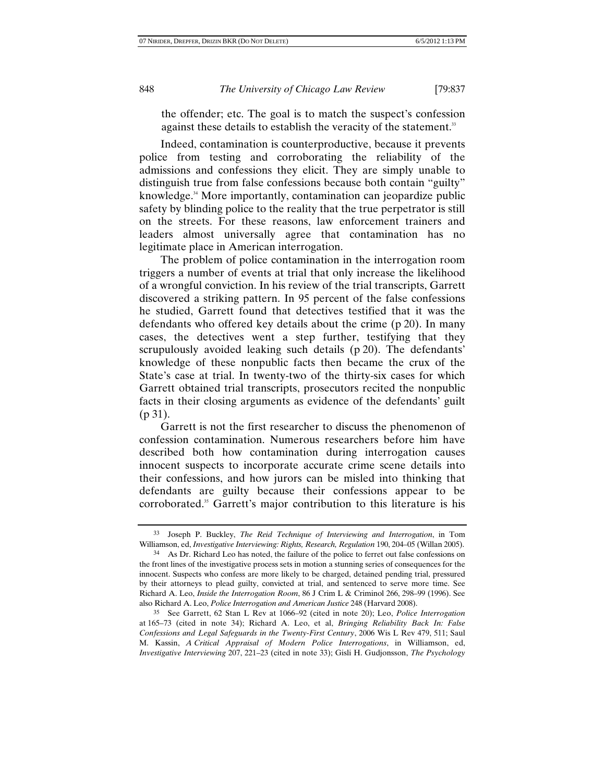the offender; etc. The goal is to match the suspect's confession against these details to establish the veracity of the statement.<sup>33</sup>

Indeed, contamination is counterproductive, because it prevents police from testing and corroborating the reliability of the admissions and confessions they elicit. They are simply unable to distinguish true from false confessions because both contain "guilty" knowledge.<sup>34</sup> More importantly, contamination can jeopardize public safety by blinding police to the reality that the true perpetrator is still on the streets. For these reasons, law enforcement trainers and leaders almost universally agree that contamination has no legitimate place in American interrogation.

The problem of police contamination in the interrogation room triggers a number of events at trial that only increase the likelihood of a wrongful conviction. In his review of the trial transcripts, Garrett discovered a striking pattern. In 95 percent of the false confessions he studied, Garrett found that detectives testified that it was the defendants who offered key details about the crime (p 20). In many cases, the detectives went a step further, testifying that they scrupulously avoided leaking such details (p 20). The defendants' knowledge of these nonpublic facts then became the crux of the State's case at trial. In twenty-two of the thirty-six cases for which Garrett obtained trial transcripts, prosecutors recited the nonpublic facts in their closing arguments as evidence of the defendants' guilt (p 31).

Garrett is not the first researcher to discuss the phenomenon of confession contamination. Numerous researchers before him have described both how contamination during interrogation causes innocent suspects to incorporate accurate crime scene details into their confessions, and how jurors can be misled into thinking that defendants are guilty because their confessions appear to be corroborated.<sup>35</sup> Garrett's major contribution to this literature is his

<sup>33</sup> Joseph P. Buckley, *The Reid Technique of Interviewing and Interrogation*, in Tom Williamson, ed, *Investigative Interviewing: Rights, Research, Regulation* 190, 204–05 (Willan 2005).

<sup>34</sup> As Dr. Richard Leo has noted, the failure of the police to ferret out false confessions on the front lines of the investigative process sets in motion a stunning series of consequences for the innocent. Suspects who confess are more likely to be charged, detained pending trial, pressured by their attorneys to plead guilty, convicted at trial, and sentenced to serve more time. See Richard A. Leo, *Inside the Interrogation Room*, 86 J Crim L & Criminol 266, 298–99 (1996). See also Richard A. Leo, *Police Interrogation and American Justice* 248 (Harvard 2008).

<sup>35</sup> See Garrett, 62 Stan L Rev at 1066–92 (cited in note 20); Leo, *Police Interrogation* at 165–73 (cited in note 34); Richard A. Leo, et al, *Bringing Reliability Back In: False Confessions and Legal Safeguards in the Twenty-First Century*, 2006 Wis L Rev 479, 511; Saul M. Kassin, *A Critical Appraisal of Modern Police Interrogations*, in Williamson, ed, *Investigative Interviewing* 207, 221–23 (cited in note 33); Gisli H. Gudjonsson, *The Psychology*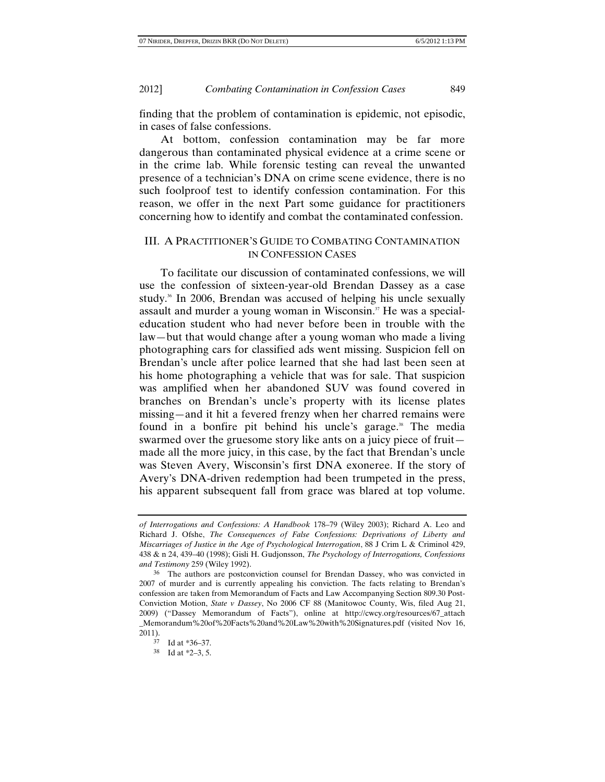finding that the problem of contamination is epidemic, not episodic, in cases of false confessions.

At bottom, confession contamination may be far more dangerous than contaminated physical evidence at a crime scene or in the crime lab. While forensic testing can reveal the unwanted presence of a technician's DNA on crime scene evidence, there is no such foolproof test to identify confession contamination. For this reason, we offer in the next Part some guidance for practitioners concerning how to identify and combat the contaminated confession.

## III. A PRACTITIONER'S GUIDE TO COMBATING CONTAMINATION IN CONFESSION CASES

To facilitate our discussion of contaminated confessions, we will use the confession of sixteen-year-old Brendan Dassey as a case study.<sup>36</sup> In 2006, Brendan was accused of helping his uncle sexually assault and murder a young woman in Wisconsin.<sup>37</sup> He was a specialeducation student who had never before been in trouble with the law—but that would change after a young woman who made a living photographing cars for classified ads went missing. Suspicion fell on Brendan's uncle after police learned that she had last been seen at his home photographing a vehicle that was for sale. That suspicion was amplified when her abandoned SUV was found covered in branches on Brendan's uncle's property with its license plates missing—and it hit a fevered frenzy when her charred remains were found in a bonfire pit behind his uncle's garage.<sup>38</sup> The media swarmed over the gruesome story like ants on a juicy piece of fruit made all the more juicy, in this case, by the fact that Brendan's uncle was Steven Avery, Wisconsin's first DNA exoneree. If the story of Avery's DNA-driven redemption had been trumpeted in the press, his apparent subsequent fall from grace was blared at top volume.

*of Interrogations and Confessions: A Handbook* 178–79 (Wiley 2003); Richard A. Leo and Richard J. Ofshe, *The Consequences of False Confessions: Deprivations of Liberty and Miscarriages of Justice in the Age of Psychological Interrogation*, 88 J Crim L & Criminol 429, 438 & n 24, 439–40 (1998); Gisli H. Gudjonsson, *The Psychology of Interrogations, Confessions and Testimony* 259 (Wiley 1992).

<sup>36</sup> The authors are postconviction counsel for Brendan Dassey, who was convicted in 2007 of murder and is currently appealing his conviction. The facts relating to Brendan's confession are taken from Memorandum of Facts and Law Accompanying Section 809.30 Post-Conviction Motion, *State v Dassey*, No 2006 CF 88 (Manitowoc County, Wis, filed Aug 21, 2009) ("Dassey Memorandum of Facts"), online at http://cwcy.org/resources/67\_attach \_Memorandum%20of%20Facts%20and%20Law%20with%20Signatures.pdf (visited Nov 16,  $2011$ ).

Id at \*36–37.

<sup>38</sup> Id at \*2–3, 5.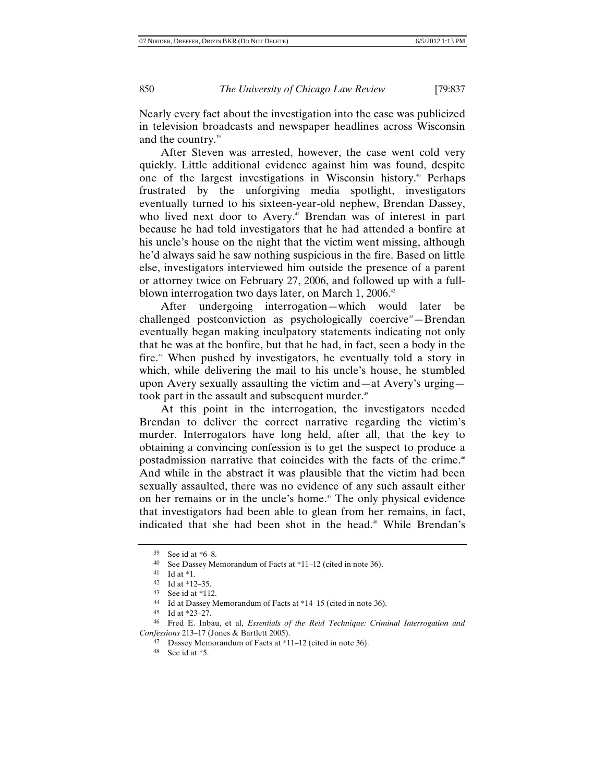Nearly every fact about the investigation into the case was publicized in television broadcasts and newspaper headlines across Wisconsin and the country.39

After Steven was arrested, however, the case went cold very quickly. Little additional evidence against him was found, despite one of the largest investigations in Wisconsin history.<sup>40</sup> Perhaps frustrated by the unforgiving media spotlight, investigators eventually turned to his sixteen-year-old nephew, Brendan Dassey, who lived next door to Avery.<sup>41</sup> Brendan was of interest in part because he had told investigators that he had attended a bonfire at his uncle's house on the night that the victim went missing, although he'd always said he saw nothing suspicious in the fire. Based on little else, investigators interviewed him outside the presence of a parent or attorney twice on February 27, 2006, and followed up with a fullblown interrogation two days later, on March  $1,2006.^{\circ}$ 

After undergoing interrogation—which would later be challenged postconviction as psychologically coercive<sup>43</sup>—Brendan eventually began making inculpatory statements indicating not only that he was at the bonfire, but that he had, in fact, seen a body in the fire.<sup>44</sup> When pushed by investigators, he eventually told a story in which, while delivering the mail to his uncle's house, he stumbled upon Avery sexually assaulting the victim and—at Avery's urging took part in the assault and subsequent murder.<sup>45</sup>

At this point in the interrogation, the investigators needed Brendan to deliver the correct narrative regarding the victim's murder. Interrogators have long held, after all, that the key to obtaining a convincing confession is to get the suspect to produce a postadmission narrative that coincides with the facts of the crime.<sup>46</sup> And while in the abstract it was plausible that the victim had been sexually assaulted, there was no evidence of any such assault either on her remains or in the uncle's home.<sup>47</sup> The only physical evidence that investigators had been able to glean from her remains, in fact, indicated that she had been shot in the head.<sup>48</sup> While Brendan's

<sup>39</sup> See id at \*6–8.

<sup>40</sup> See Dassey Memorandum of Facts at \*11–12 (cited in note 36).

<sup>41</sup> Id at \*1.

<sup>42</sup> Id at \*12–35.

<sup>43</sup> See id at \*112.

<sup>44</sup> Id at Dassey Memorandum of Facts at \*14–15 (cited in note 36).

<sup>45</sup> Id at \*23–27.

<sup>46</sup> Fred E. Inbau, et al, *Essentials of the Reid Technique: Criminal Interrogation and Confessions* 213–17 (Jones & Bartlett 2005).

<sup>47</sup> Dassey Memorandum of Facts at \*11–12 (cited in note 36).

<sup>48</sup> See id at \*5.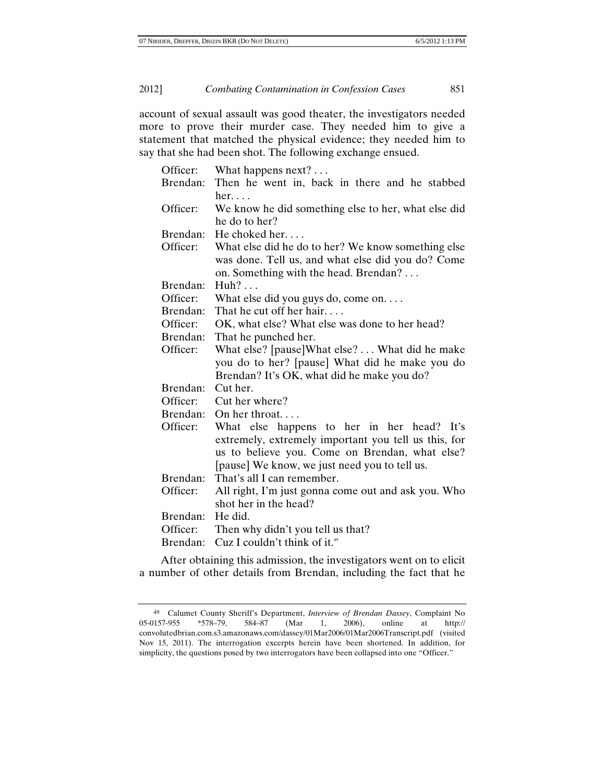account of sexual assault was good theater, the investigators needed more to prove their murder case. They needed him to give a statement that matched the physical evidence; they needed him to say that she had been shot. The following exchange ensued.

| Officer: | What happens $next? \ldots$                                    |
|----------|----------------------------------------------------------------|
| Brendan: | Then he went in, back in there and he stabbed<br>$her. \ldots$ |
| Officer: | We know he did something else to her, what else did            |
|          | he do to her?                                                  |
| Brendan: | He choked her                                                  |
| Officer: | What else did he do to her? We know something else             |
|          | was done. Tell us, and what else did you do? Come              |
|          | on. Something with the head. Brendan?                          |
| Brendan: | Huh?                                                           |
| Officer: | What else did you guys do, come on                             |
| Brendan: | That he cut off her hair                                       |
| Officer: | OK, what else? What else was done to her head?                 |
| Brendan: | That he punched her.                                           |
| Officer: | What else? [pause]What else? What did he make                  |
|          | you do to her? [pause] What did he make you do                 |
|          | Brendan? It's OK, what did he make you do?                     |
| Brendan: | Cut her.                                                       |
| Officer: | Cut her where?                                                 |
| Brendan: | On her throat                                                  |
| Officer: | What else happens to her in her head? It's                     |
|          | extremely, extremely important you tell us this, for           |
|          | us to believe you. Come on Brendan, what else?                 |
|          | [pause] We know, we just need you to tell us.                  |
| Brendan: | That's all I can remember.                                     |
| Officer: | All right, I'm just gonna come out and ask you. Who            |
|          | shot her in the head?                                          |
| Brendan: | He did.                                                        |
| Officer: | Then why didn't you tell us that?                              |
| Brendan: | Cuz I couldn't think of it. <sup>49</sup>                      |

After obtaining this admission, the investigators went on to elicit a number of other details from Brendan, including the fact that he

<sup>49</sup> Calumet County Sheriff's Department, *Interview of Brendan Dassey*, Complaint No 05-0157-955 \*578–79, 584–87 (Mar 1, 2006), online at http:// convolutedbrian.com.s3.amazonaws.com/dassey/01Mar2006/01Mar2006Transcript.pdf (visited Nov 15, 2011). The interrogation excerpts herein have been shortened. In addition, for simplicity, the questions posed by two interrogators have been collapsed into one "Officer."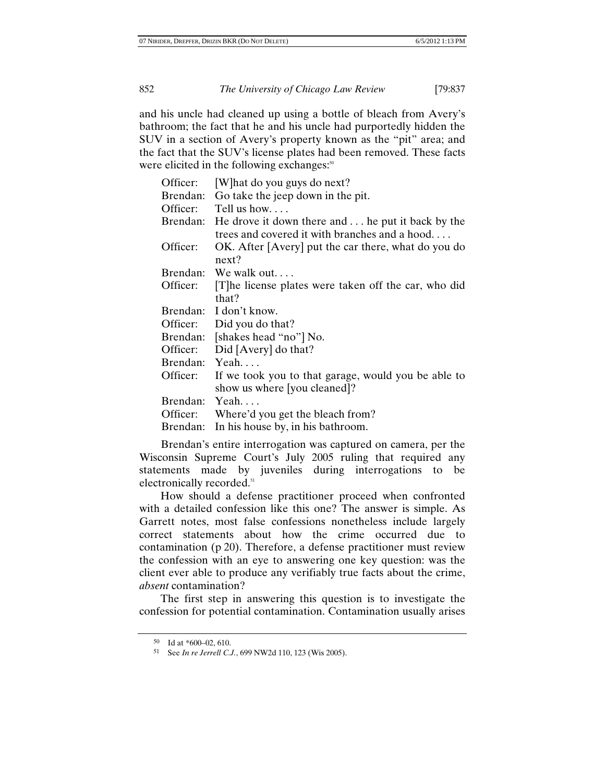and his uncle had cleaned up using a bottle of bleach from Avery's bathroom; the fact that he and his uncle had purportedly hidden the SUV in a section of Avery's property known as the "pit" area; and the fact that the SUV's license plates had been removed. These facts were elicited in the following exchanges.<sup>50</sup>

| Officer: | [W] hat do you guys do next?                                                                                |
|----------|-------------------------------------------------------------------------------------------------------------|
| Brendan: | Go take the jeep down in the pit.                                                                           |
| Officer: | Tell us how                                                                                                 |
|          | Brendan: He drove it down there and  he put it back by the<br>trees and covered it with branches and a hood |
| Officer: | OK. After [Avery] put the car there, what do you do<br>next?                                                |
| Brendan: | We walk out                                                                                                 |
| Officer: | [T] he license plates were taken off the car, who did                                                       |
|          | that?                                                                                                       |
| Brendan: | I don't know.                                                                                               |
| Officer: | Did you do that?                                                                                            |
|          | Brendan: [shakes head "no"] No.                                                                             |
| Officer: | Did [Avery] do that?                                                                                        |
| Brendan: | Yeah                                                                                                        |
| Officer: | If we took you to that garage, would you be able to                                                         |
|          | show us where [you cleaned]?                                                                                |
| Brendan: | Yeah                                                                                                        |
| Officer: | Where'd you get the bleach from?                                                                            |
| Brendan: | In his house by, in his bathroom.                                                                           |

 Brendan's entire interrogation was captured on camera, per the Wisconsin Supreme Court's July 2005 ruling that required any statements made by juveniles during interrogations to be electronically recorded.<sup>51</sup>

How should a defense practitioner proceed when confronted with a detailed confession like this one? The answer is simple. As Garrett notes, most false confessions nonetheless include largely correct statements about how the crime occurred due to contamination (p 20). Therefore, a defense practitioner must review the confession with an eye to answering one key question: was the client ever able to produce any verifiably true facts about the crime, *absent* contamination?

The first step in answering this question is to investigate the confession for potential contamination. Contamination usually arises

<sup>50</sup> Id at \*600–02, 610.

<sup>51</sup> See *In re Jerrell C.J.*, 699 NW2d 110, 123 (Wis 2005).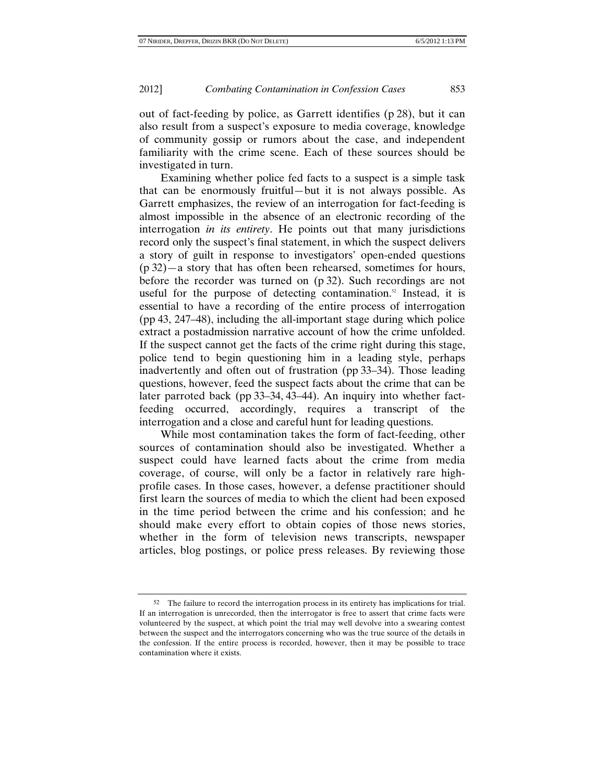out of fact-feeding by police, as Garrett identifies (p 28), but it can also result from a suspect's exposure to media coverage, knowledge of community gossip or rumors about the case, and independent familiarity with the crime scene. Each of these sources should be investigated in turn.

Examining whether police fed facts to a suspect is a simple task that can be enormously fruitful—but it is not always possible. As Garrett emphasizes, the review of an interrogation for fact-feeding is almost impossible in the absence of an electronic recording of the interrogation *in its entirety*. He points out that many jurisdictions record only the suspect's final statement, in which the suspect delivers a story of guilt in response to investigators' open-ended questions (p 32)—a story that has often been rehearsed, sometimes for hours, before the recorder was turned on (p 32). Such recordings are not useful for the purpose of detecting contamination. $52$  Instead, it is essential to have a recording of the entire process of interrogation (pp 43, 247–48), including the all-important stage during which police extract a postadmission narrative account of how the crime unfolded. If the suspect cannot get the facts of the crime right during this stage, police tend to begin questioning him in a leading style, perhaps inadvertently and often out of frustration (pp 33–34). Those leading questions, however, feed the suspect facts about the crime that can be later parroted back (pp 33–34, 43–44). An inquiry into whether factfeeding occurred, accordingly, requires a transcript of the interrogation and a close and careful hunt for leading questions.

While most contamination takes the form of fact-feeding, other sources of contamination should also be investigated. Whether a suspect could have learned facts about the crime from media coverage, of course, will only be a factor in relatively rare highprofile cases. In those cases, however, a defense practitioner should first learn the sources of media to which the client had been exposed in the time period between the crime and his confession; and he should make every effort to obtain copies of those news stories, whether in the form of television news transcripts, newspaper articles, blog postings, or police press releases. By reviewing those

<sup>52</sup> The failure to record the interrogation process in its entirety has implications for trial. If an interrogation is unrecorded, then the interrogator is free to assert that crime facts were volunteered by the suspect, at which point the trial may well devolve into a swearing contest between the suspect and the interrogators concerning who was the true source of the details in the confession. If the entire process is recorded, however, then it may be possible to trace contamination where it exists.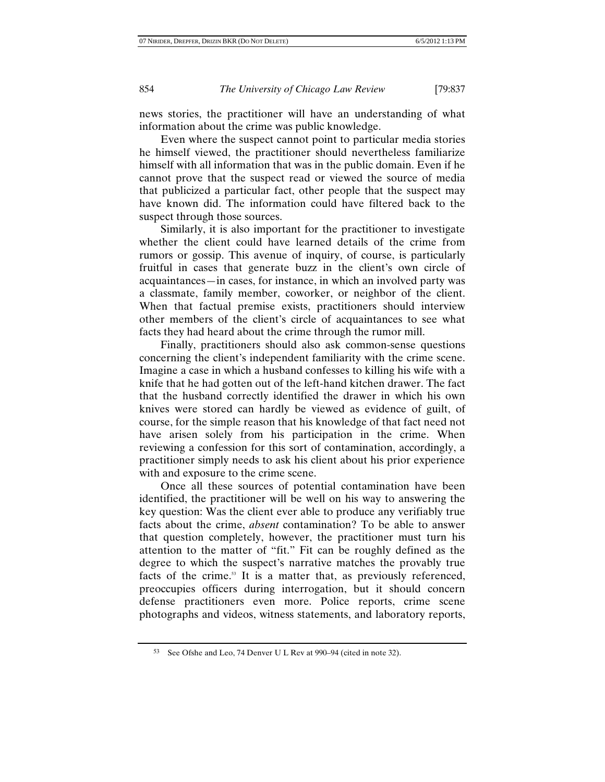news stories, the practitioner will have an understanding of what information about the crime was public knowledge.

Even where the suspect cannot point to particular media stories he himself viewed, the practitioner should nevertheless familiarize himself with all information that was in the public domain. Even if he cannot prove that the suspect read or viewed the source of media that publicized a particular fact, other people that the suspect may have known did. The information could have filtered back to the suspect through those sources.

Similarly, it is also important for the practitioner to investigate whether the client could have learned details of the crime from rumors or gossip. This avenue of inquiry, of course, is particularly fruitful in cases that generate buzz in the client's own circle of acquaintances—in cases, for instance, in which an involved party was a classmate, family member, coworker, or neighbor of the client. When that factual premise exists, practitioners should interview other members of the client's circle of acquaintances to see what facts they had heard about the crime through the rumor mill.

Finally, practitioners should also ask common-sense questions concerning the client's independent familiarity with the crime scene. Imagine a case in which a husband confesses to killing his wife with a knife that he had gotten out of the left-hand kitchen drawer. The fact that the husband correctly identified the drawer in which his own knives were stored can hardly be viewed as evidence of guilt, of course, for the simple reason that his knowledge of that fact need not have arisen solely from his participation in the crime. When reviewing a confession for this sort of contamination, accordingly, a practitioner simply needs to ask his client about his prior experience with and exposure to the crime scene.

Once all these sources of potential contamination have been identified, the practitioner will be well on his way to answering the key question: Was the client ever able to produce any verifiably true facts about the crime, *absent* contamination? To be able to answer that question completely, however, the practitioner must turn his attention to the matter of "fit." Fit can be roughly defined as the degree to which the suspect's narrative matches the provably true facts of the crime.<sup>53</sup> It is a matter that, as previously referenced, preoccupies officers during interrogation, but it should concern defense practitioners even more. Police reports, crime scene photographs and videos, witness statements, and laboratory reports,

<sup>53</sup> See Ofshe and Leo, 74 Denver U L Rev at 990–94 (cited in note 32).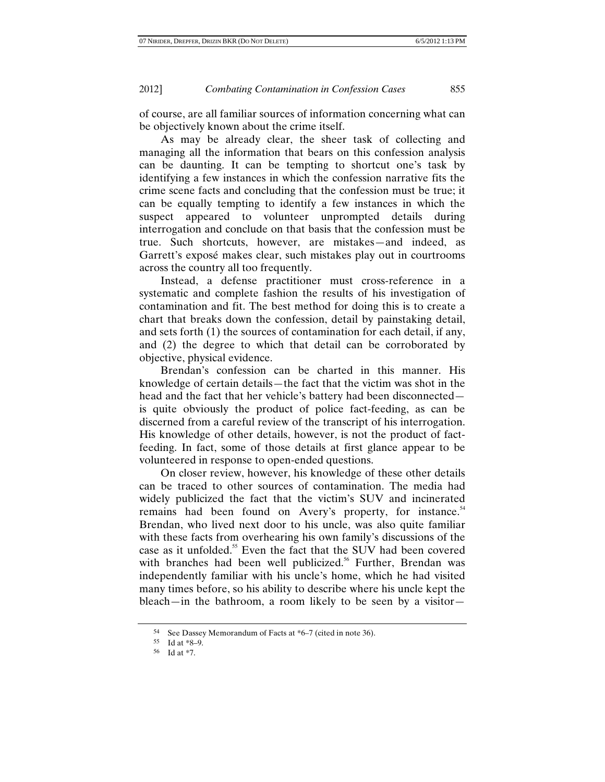of course, are all familiar sources of information concerning what can be objectively known about the crime itself.

As may be already clear, the sheer task of collecting and managing all the information that bears on this confession analysis can be daunting. It can be tempting to shortcut one's task by identifying a few instances in which the confession narrative fits the crime scene facts and concluding that the confession must be true; it can be equally tempting to identify a few instances in which the suspect appeared to volunteer unprompted details during interrogation and conclude on that basis that the confession must be true. Such shortcuts, however, are mistakes—and indeed, as Garrett's exposé makes clear, such mistakes play out in courtrooms across the country all too frequently.

Instead, a defense practitioner must cross-reference in a systematic and complete fashion the results of his investigation of contamination and fit. The best method for doing this is to create a chart that breaks down the confession, detail by painstaking detail, and sets forth (1) the sources of contamination for each detail, if any, and (2) the degree to which that detail can be corroborated by objective, physical evidence.

Brendan's confession can be charted in this manner. His knowledge of certain details—the fact that the victim was shot in the head and the fact that her vehicle's battery had been disconnected is quite obviously the product of police fact-feeding, as can be discerned from a careful review of the transcript of his interrogation. His knowledge of other details, however, is not the product of factfeeding. In fact, some of those details at first glance appear to be volunteered in response to open-ended questions.

On closer review, however, his knowledge of these other details can be traced to other sources of contamination. The media had widely publicized the fact that the victim's SUV and incinerated remains had been found on Avery's property, for instance.<sup>54</sup> Brendan, who lived next door to his uncle, was also quite familiar with these facts from overhearing his own family's discussions of the case as it unfolded.<sup>55</sup> Even the fact that the SUV had been covered with branches had been well publicized.<sup>56</sup> Further, Brendan was independently familiar with his uncle's home, which he had visited many times before, so his ability to describe where his uncle kept the bleach—in the bathroom, a room likely to be seen by a visitor—

<sup>54</sup> See Dassey Memorandum of Facts at \*6–7 (cited in note 36).

<sup>55</sup> Id at \*8–9.

<sup>56</sup> Id at \*7.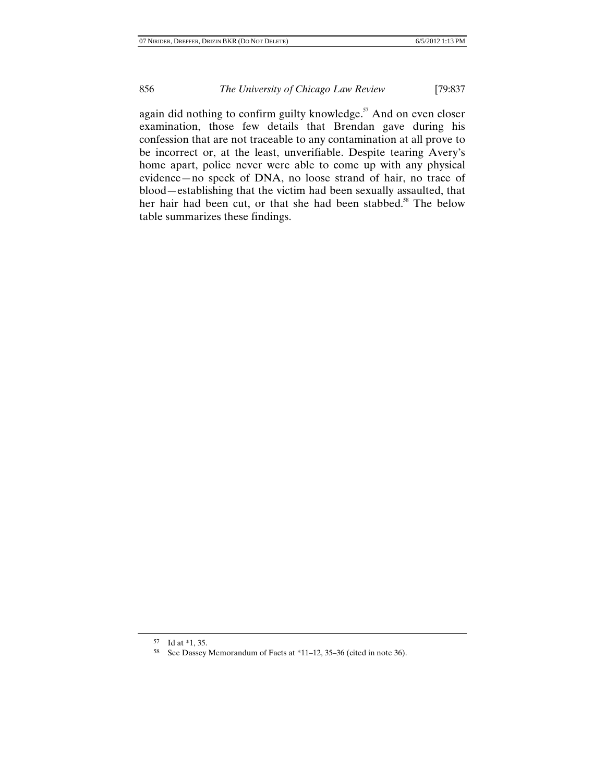again did nothing to confirm guilty knowledge. $57$  And on even closer examination, those few details that Brendan gave during his confession that are not traceable to any contamination at all prove to be incorrect or, at the least, unverifiable. Despite tearing Avery's home apart, police never were able to come up with any physical evidence—no speck of DNA, no loose strand of hair, no trace of blood—establishing that the victim had been sexually assaulted, that her hair had been cut, or that she had been stabbed.<sup>58</sup> The below table summarizes these findings.

<sup>57</sup> Id at \*1, 35.

<sup>58</sup> See Dassey Memorandum of Facts at \*11–12, 35–36 (cited in note 36).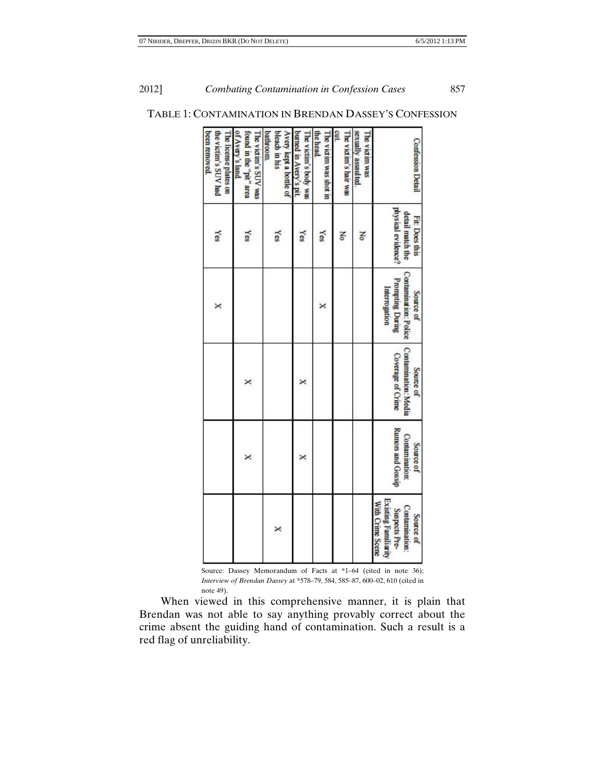## 2012] *Combating Contamination in Confession Cases* 857

| <b>Confession Detail</b>                                            | physical evidence?<br>detail match the<br>Fit: Does this | Contamination: Police<br>Prompting During<br>Interrogation<br>Source of | Contamination: Media<br>Coverage of Crime<br>Source of | Rumors and Gossip<br><b>Contamination:</b><br>Source of |
|---------------------------------------------------------------------|----------------------------------------------------------|-------------------------------------------------------------------------|--------------------------------------------------------|---------------------------------------------------------|
| The victim was<br>sexually assaulted                                | Ko                                                       |                                                                         |                                                        |                                                         |
| cut.<br>The victim's lair was                                       | š                                                        |                                                                         |                                                        |                                                         |
| the head.<br>The victim was shot in                                 | Yes                                                      | ×                                                                       |                                                        |                                                         |
| burned in Avery's pit.<br>The victim's body was                     | Yes                                                      |                                                                         | ×                                                      | ×                                                       |
| bleach in his<br>Avery kept a bottle of<br>bathroom                 | Yes                                                      |                                                                         |                                                        |                                                         |
| of Avery's land.<br>found in the "pit" area<br>The victim's SUV was | Yes                                                      |                                                                         | ×                                                      | ×                                                       |
| the victim's SUV had<br>The license plates on<br>been removed.      | Yes                                                      | ×                                                                       |                                                        |                                                         |

## TABLE 1: CONTAMINATION IN BRENDAN DASSEY'S CONFESSION

Source: Dassey Memorandum of Facts at \*1–64 (cited in note 36); *Interview of Brendan Dassey* at \*578–79, 584, 585–87, 600–02, 610 (cited in note 49).

When viewed in this comprehensive manner, it is plain that Brendan was not able to say anything provably correct about the crime absent the guiding hand of contamination. Such a result is a red flag of unreliability.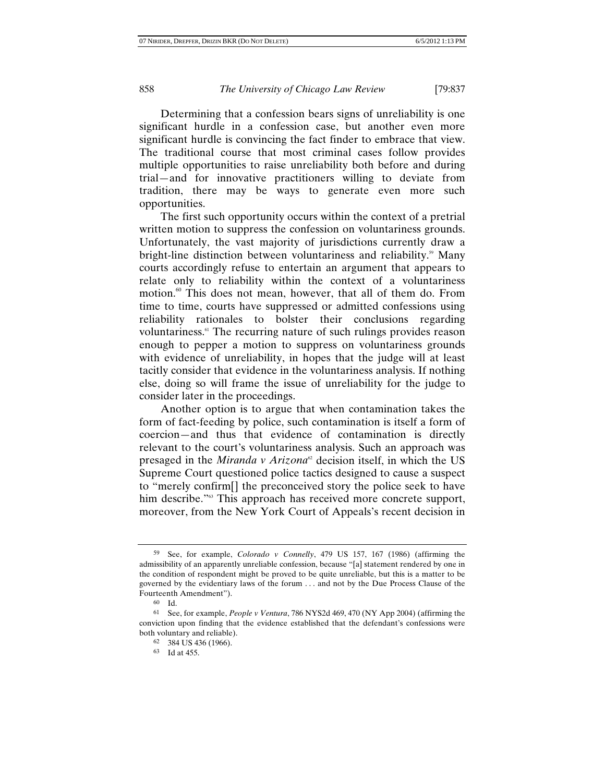Determining that a confession bears signs of unreliability is one significant hurdle in a confession case, but another even more significant hurdle is convincing the fact finder to embrace that view. The traditional course that most criminal cases follow provides multiple opportunities to raise unreliability both before and during trial—and for innovative practitioners willing to deviate from tradition, there may be ways to generate even more such opportunities.

The first such opportunity occurs within the context of a pretrial written motion to suppress the confession on voluntariness grounds. Unfortunately, the vast majority of jurisdictions currently draw a bright-line distinction between voluntariness and reliability.<sup>59</sup> Many courts accordingly refuse to entertain an argument that appears to relate only to reliability within the context of a voluntariness motion.<sup>60</sup> This does not mean, however, that all of them do. From time to time, courts have suppressed or admitted confessions using reliability rationales to bolster their conclusions regarding voluntariness.<sup>61</sup> The recurring nature of such rulings provides reason enough to pepper a motion to suppress on voluntariness grounds with evidence of unreliability, in hopes that the judge will at least tacitly consider that evidence in the voluntariness analysis. If nothing else, doing so will frame the issue of unreliability for the judge to consider later in the proceedings.

Another option is to argue that when contamination takes the form of fact-feeding by police, such contamination is itself a form of coercion—and thus that evidence of contamination is directly relevant to the court's voluntariness analysis. Such an approach was presaged in the *Miranda v Arizona*<sup>*a*</sup> decision itself, in which the US Supreme Court questioned police tactics designed to cause a suspect to "merely confirm[] the preconceived story the police seek to have him describe."<sup>63</sup> This approach has received more concrete support, moreover, from the New York Court of Appeals's recent decision in

<sup>59</sup> See, for example, *Colorado v Connelly*, 479 US 157, 167 (1986) (affirming the admissibility of an apparently unreliable confession, because "[a] statement rendered by one in the condition of respondent might be proved to be quite unreliable, but this is a matter to be governed by the evidentiary laws of the forum . . . and not by the Due Process Clause of the Fourteenth Amendment").

<sup>60</sup> Id.

<sup>61</sup> See, for example, *People v Ventura*, 786 NYS2d 469, 470 (NY App 2004) (affirming the conviction upon finding that the evidence established that the defendant's confessions were both voluntary and reliable).

<sup>62 384</sup> US 436 (1966).

<sup>63</sup> Id at 455.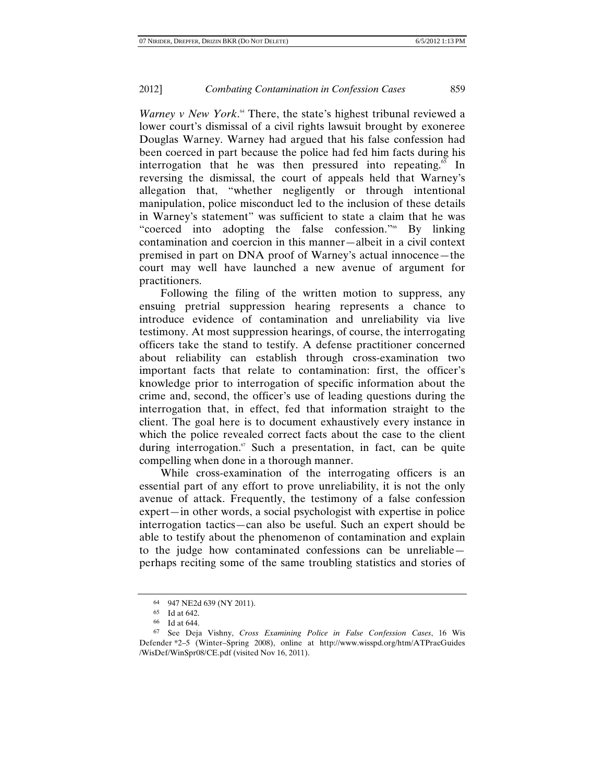*Warney v New York*.<sup>4</sup> There, the state's highest tribunal reviewed a lower court's dismissal of a civil rights lawsuit brought by exoneree Douglas Warney. Warney had argued that his false confession had been coerced in part because the police had fed him facts during his interrogation that he was then pressured into repeating.<sup>65</sup> In reversing the dismissal, the court of appeals held that Warney's allegation that, "whether negligently or through intentional manipulation, police misconduct led to the inclusion of these details in Warney's statement" was sufficient to state a claim that he was "coerced into adopting the false confession."66 By linking contamination and coercion in this manner—albeit in a civil context premised in part on DNA proof of Warney's actual innocence—the court may well have launched a new avenue of argument for practitioners.

Following the filing of the written motion to suppress, any ensuing pretrial suppression hearing represents a chance to introduce evidence of contamination and unreliability via live testimony. At most suppression hearings, of course, the interrogating officers take the stand to testify. A defense practitioner concerned about reliability can establish through cross-examination two important facts that relate to contamination: first, the officer's knowledge prior to interrogation of specific information about the crime and, second, the officer's use of leading questions during the interrogation that, in effect, fed that information straight to the client. The goal here is to document exhaustively every instance in which the police revealed correct facts about the case to the client during interrogation. $67$  Such a presentation, in fact, can be quite compelling when done in a thorough manner.

While cross-examination of the interrogating officers is an essential part of any effort to prove unreliability, it is not the only avenue of attack. Frequently, the testimony of a false confession expert—in other words, a social psychologist with expertise in police interrogation tactics—can also be useful. Such an expert should be able to testify about the phenomenon of contamination and explain to the judge how contaminated confessions can be unreliable perhaps reciting some of the same troubling statistics and stories of

<sup>64 947</sup> NE2d 639 (NY 2011).

<sup>65</sup> Id at 642.

<sup>66</sup> Id at 644.

<sup>67</sup> See Deja Vishny, *Cross Examining Police in False Confession Cases*, 16 Wis Defender \*2–5 (Winter–Spring 2008), online at http://www.wisspd.org/htm/ATPracGuides /WisDef/WinSpr08/CE.pdf (visited Nov 16, 2011).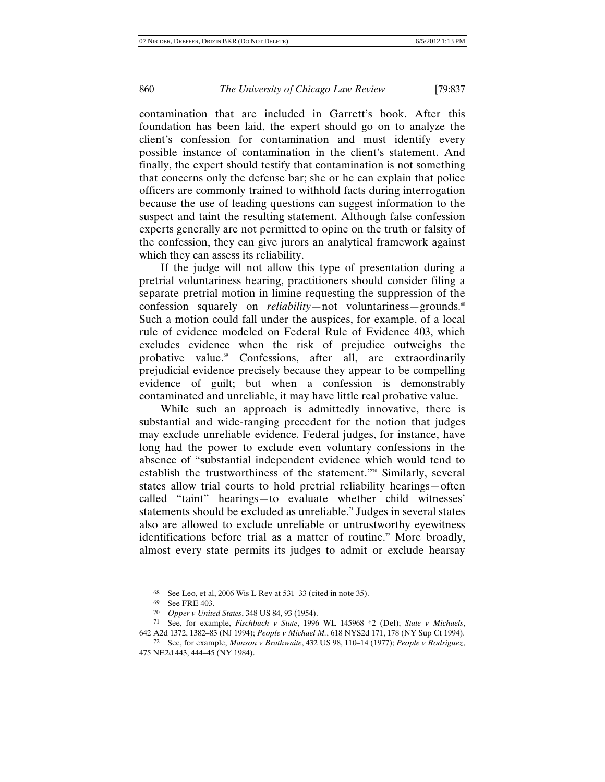contamination that are included in Garrett's book. After this foundation has been laid, the expert should go on to analyze the client's confession for contamination and must identify every possible instance of contamination in the client's statement. And finally, the expert should testify that contamination is not something that concerns only the defense bar; she or he can explain that police officers are commonly trained to withhold facts during interrogation because the use of leading questions can suggest information to the suspect and taint the resulting statement. Although false confession experts generally are not permitted to opine on the truth or falsity of the confession, they can give jurors an analytical framework against which they can assess its reliability.

If the judge will not allow this type of presentation during a pretrial voluntariness hearing, practitioners should consider filing a separate pretrial motion in limine requesting the suppression of the confession squarely on *reliability*—not voluntariness—grounds.<sup>68</sup> Such a motion could fall under the auspices, for example, of a local rule of evidence modeled on Federal Rule of Evidence 403, which excludes evidence when the risk of prejudice outweighs the probative value.<sup>69</sup> Confessions, after all, are extraordinarily prejudicial evidence precisely because they appear to be compelling evidence of guilt; but when a confession is demonstrably contaminated and unreliable, it may have little real probative value.

While such an approach is admittedly innovative, there is substantial and wide-ranging precedent for the notion that judges may exclude unreliable evidence. Federal judges, for instance, have long had the power to exclude even voluntary confessions in the absence of "substantial independent evidence which would tend to establish the trustworthiness of the statement."70 Similarly, several states allow trial courts to hold pretrial reliability hearings—often called "taint" hearings—to evaluate whether child witnesses' statements should be excluded as unreliable.<sup> $n$ </sup> Judges in several states also are allowed to exclude unreliable or untrustworthy eyewitness identifications before trial as a matter of routine.<sup>22</sup> More broadly, almost every state permits its judges to admit or exclude hearsay

<sup>68</sup> See Leo, et al, 2006 Wis L Rev at 531–33 (cited in note 35).

<sup>69</sup> See FRE 403.<br>
70 Opper v United States, 348 US 84, 93 (1954).

<sup>70</sup> *Opper v United States*, 348 US 84, 93 (1954). 71 See, for example, *Fischbach v State*, 1996 WL 145968 \*2 (Del); *State v Michaels*, 642 A2d 1372, 1382–83 (NJ 1994); *People v Michael M.*, 618 NYS2d 171, 178 (NY Sup Ct 1994).

<sup>72</sup> See, for example, *Manson v Brathwaite*, 432 US 98, 110–14 (1977); *People v Rodriguez*, 475 NE2d 443, 444–45 (NY 1984).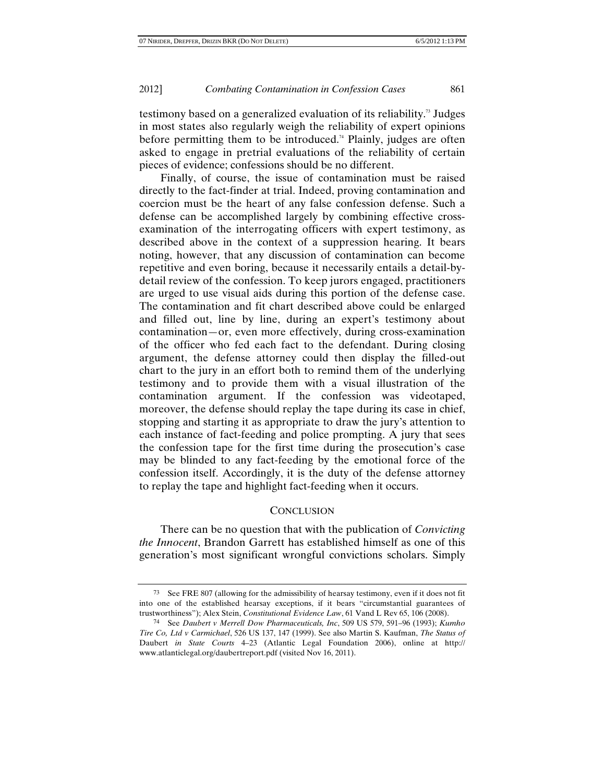testimony based on a generalized evaluation of its reliability.<sup>73</sup> Judges in most states also regularly weigh the reliability of expert opinions before permitting them to be introduced.<sup>74</sup> Plainly, judges are often asked to engage in pretrial evaluations of the reliability of certain pieces of evidence; confessions should be no different.

Finally, of course, the issue of contamination must be raised directly to the fact-finder at trial. Indeed, proving contamination and coercion must be the heart of any false confession defense. Such a defense can be accomplished largely by combining effective crossexamination of the interrogating officers with expert testimony, as described above in the context of a suppression hearing. It bears noting, however, that any discussion of contamination can become repetitive and even boring, because it necessarily entails a detail-bydetail review of the confession. To keep jurors engaged, practitioners are urged to use visual aids during this portion of the defense case. The contamination and fit chart described above could be enlarged and filled out, line by line, during an expert's testimony about contamination—or, even more effectively, during cross-examination of the officer who fed each fact to the defendant. During closing argument, the defense attorney could then display the filled-out chart to the jury in an effort both to remind them of the underlying testimony and to provide them with a visual illustration of the contamination argument. If the confession was videotaped, moreover, the defense should replay the tape during its case in chief, stopping and starting it as appropriate to draw the jury's attention to each instance of fact-feeding and police prompting. A jury that sees the confession tape for the first time during the prosecution's case may be blinded to any fact-feeding by the emotional force of the confession itself. Accordingly, it is the duty of the defense attorney to replay the tape and highlight fact-feeding when it occurs.

## **CONCLUSION**

There can be no question that with the publication of *Convicting the Innocent*, Brandon Garrett has established himself as one of this generation's most significant wrongful convictions scholars. Simply

<sup>73</sup> See FRE 807 (allowing for the admissibility of hearsay testimony, even if it does not fit into one of the established hearsay exceptions, if it bears "circumstantial guarantees of trustworthiness"); Alex Stein, *Constitutional Evidence Law*, 61 Vand L Rev 65, 106 (2008).

<sup>74</sup> See *Daubert v Merrell Dow Pharmaceuticals, Inc*, 509 US 579, 591–96 (1993); *Kumho Tire Co, Ltd v Carmichael*, 526 US 137, 147 (1999). See also Martin S. Kaufman, *The Status of*  Daubert *in State Courts* 4–23 (Atlantic Legal Foundation 2006), online at http:// www.atlanticlegal.org/daubertreport.pdf (visited Nov 16, 2011).